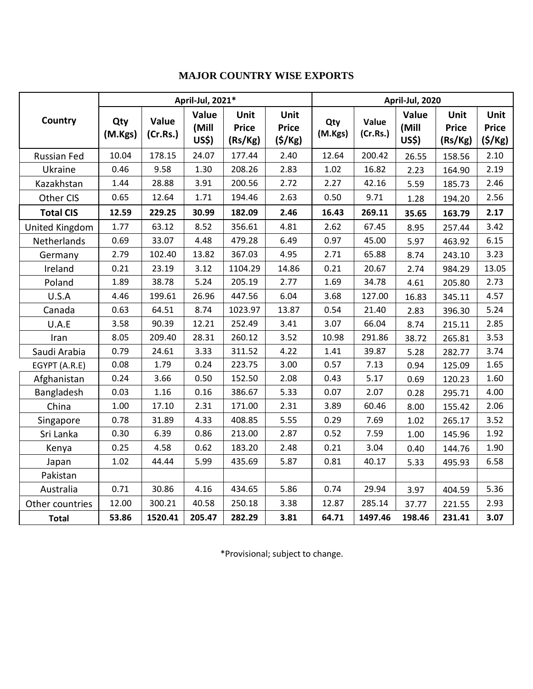## **MAJOR COUNTRY WISE EXPORTS**

|                    | April-Jul, 2021* |                   |                                |                                 |                                | April-Jul, 2020 |                   |                                |                                 |                                |
|--------------------|------------------|-------------------|--------------------------------|---------------------------------|--------------------------------|-----------------|-------------------|--------------------------------|---------------------------------|--------------------------------|
| Country            | Qty<br>(M.Kgs)   | Value<br>(Cr.Rs.) | Value<br>(Mill<br><b>US\$)</b> | Unit<br><b>Price</b><br>(Rs/Kg) | Unit<br><b>Price</b><br>(5/Kg) | Qty<br>(M.Kgs)  | Value<br>(Cr.Rs.) | Value<br>(Mill<br><b>US\$)</b> | Unit<br><b>Price</b><br>(Rs/Kg) | Unit<br><b>Price</b><br>(5/Kg) |
| <b>Russian Fed</b> | 10.04            | 178.15            | 24.07                          | 177.44                          | 2.40                           | 12.64           | 200.42            | 26.55                          | 158.56                          | 2.10                           |
| Ukraine            | 0.46             | 9.58              | 1.30                           | 208.26                          | 2.83                           | 1.02            | 16.82             | 2.23                           | 164.90                          | 2.19                           |
| Kazakhstan         | 1.44             | 28.88             | 3.91                           | 200.56                          | 2.72                           | 2.27            | 42.16             | 5.59                           | 185.73                          | 2.46                           |
| Other CIS          | 0.65             | 12.64             | 1.71                           | 194.46                          | 2.63                           | 0.50            | 9.71              | 1.28                           | 194.20                          | 2.56                           |
| <b>Total CIS</b>   | 12.59            | 229.25            | 30.99                          | 182.09                          | 2.46                           | 16.43           | 269.11            | 35.65                          | 163.79                          | 2.17                           |
| United Kingdom     | 1.77             | 63.12             | 8.52                           | 356.61                          | 4.81                           | 2.62            | 67.45             | 8.95                           | 257.44                          | 3.42                           |
| Netherlands        | 0.69             | 33.07             | 4.48                           | 479.28                          | 6.49                           | 0.97            | 45.00             | 5.97                           | 463.92                          | 6.15                           |
| Germany            | 2.79             | 102.40            | 13.82                          | 367.03                          | 4.95                           | 2.71            | 65.88             | 8.74                           | 243.10                          | 3.23                           |
| Ireland            | 0.21             | 23.19             | 3.12                           | 1104.29                         | 14.86                          | 0.21            | 20.67             | 2.74                           | 984.29                          | 13.05                          |
| Poland             | 1.89             | 38.78             | 5.24                           | 205.19                          | 2.77                           | 1.69            | 34.78             | 4.61                           | 205.80                          | 2.73                           |
| U.S.A              | 4.46             | 199.61            | 26.96                          | 447.56                          | 6.04                           | 3.68            | 127.00            | 16.83                          | 345.11                          | 4.57                           |
| Canada             | 0.63             | 64.51             | 8.74                           | 1023.97                         | 13.87                          | 0.54            | 21.40             | 2.83                           | 396.30                          | 5.24                           |
| U.A.E              | 3.58             | 90.39             | 12.21                          | 252.49                          | 3.41                           | 3.07            | 66.04             | 8.74                           | 215.11                          | 2.85                           |
| Iran               | 8.05             | 209.40            | 28.31                          | 260.12                          | 3.52                           | 10.98           | 291.86            | 38.72                          | 265.81                          | 3.53                           |
| Saudi Arabia       | 0.79             | 24.61             | 3.33                           | 311.52                          | 4.22                           | 1.41            | 39.87             | 5.28                           | 282.77                          | 3.74                           |
| EGYPT (A.R.E)      | 0.08             | 1.79              | 0.24                           | 223.75                          | 3.00                           | 0.57            | 7.13              | 0.94                           | 125.09                          | 1.65                           |
| Afghanistan        | 0.24             | 3.66              | 0.50                           | 152.50                          | 2.08                           | 0.43            | 5.17              | 0.69                           | 120.23                          | 1.60                           |
| Bangladesh         | 0.03             | 1.16              | 0.16                           | 386.67                          | 5.33                           | 0.07            | 2.07              | 0.28                           | 295.71                          | 4.00                           |
| China              | 1.00             | 17.10             | 2.31                           | 171.00                          | 2.31                           | 3.89            | 60.46             | 8.00                           | 155.42                          | 2.06                           |
| Singapore          | 0.78             | 31.89             | 4.33                           | 408.85                          | 5.55                           | 0.29            | 7.69              | 1.02                           | 265.17                          | 3.52                           |
| Sri Lanka          | 0.30             | 6.39              | 0.86                           | 213.00                          | 2.87                           | 0.52            | 7.59              | 1.00                           | 145.96                          | 1.92                           |
| Kenya              | 0.25             | 4.58              | 0.62                           | 183.20                          | 2.48                           | 0.21            | 3.04              | 0.40                           | 144.76                          | 1.90                           |
| Japan              | 1.02             | 44.44             | 5.99                           | 435.69                          | 5.87                           | 0.81            | 40.17             | 5.33                           | 495.93                          | 6.58                           |
| Pakistan           |                  |                   |                                |                                 |                                |                 |                   |                                |                                 |                                |
| Australia          | 0.71             | 30.86             | 4.16                           | 434.65                          | 5.86                           | 0.74            | 29.94             | 3.97                           | 404.59                          | 5.36                           |
| Other countries    | 12.00            | 300.21            | 40.58                          | 250.18                          | 3.38                           | 12.87           | 285.14            | 37.77                          | 221.55                          | 2.93                           |
| <b>Total</b>       | 53.86            | 1520.41           | 205.47                         | 282.29                          | 3.81                           | 64.71           | 1497.46           | 198.46                         | 231.41                          | 3.07                           |

\*Provisional; subject to change.